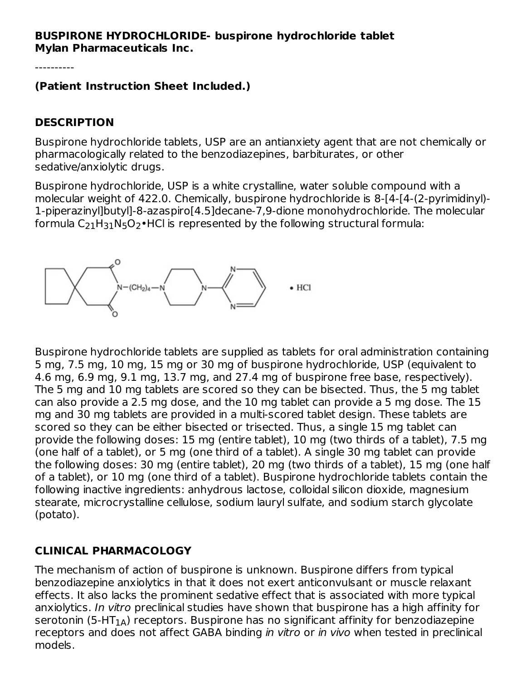#### **BUSPIRONE HYDROCHLORIDE- buspirone hydrochloride tablet Mylan Pharmaceuticals Inc.**

----------

#### **(Patient Instruction Sheet Included.)**

#### **DESCRIPTION**

Buspirone hydrochloride tablets, USP are an antianxiety agent that are not chemically or pharmacologically related to the benzodiazepines, barbiturates, or other sedative/anxiolytic drugs.

Buspirone hydrochloride, USP is a white crystalline, water soluble compound with a molecular weight of 422.0. Chemically, buspirone hydrochloride is 8-[4-[4-(2-pyrimidinyl)- 1-piperazinyl]butyl]-8-azaspiro[4.5]decane-7,9-dione monohydrochloride. The molecular formula  $\mathsf{C}_{21}\mathsf{H}_{31}\mathsf{N}_{5}\mathsf{O}_{2}\bullet$ HCl is represented by the following structural formula:



Buspirone hydrochloride tablets are supplied as tablets for oral administration containing 5 mg, 7.5 mg, 10 mg, 15 mg or 30 mg of buspirone hydrochloride, USP (equivalent to 4.6 mg, 6.9 mg, 9.1 mg, 13.7 mg, and 27.4 mg of buspirone free base, respectively). The 5 mg and 10 mg tablets are scored so they can be bisected. Thus, the 5 mg tablet can also provide a 2.5 mg dose, and the 10 mg tablet can provide a 5 mg dose. The 15 mg and 30 mg tablets are provided in a multi-scored tablet design. These tablets are scored so they can be either bisected or trisected. Thus, a single 15 mg tablet can provide the following doses: 15 mg (entire tablet), 10 mg (two thirds of a tablet), 7.5 mg (one half of a tablet), or 5 mg (one third of a tablet). A single 30 mg tablet can provide the following doses: 30 mg (entire tablet), 20 mg (two thirds of a tablet), 15 mg (one half of a tablet), or 10 mg (one third of a tablet). Buspirone hydrochloride tablets contain the following inactive ingredients: anhydrous lactose, colloidal silicon dioxide, magnesium stearate, microcrystalline cellulose, sodium lauryl sulfate, and sodium starch glycolate (potato).

## **CLINICAL PHARMACOLOGY**

The mechanism of action of buspirone is unknown. Buspirone differs from typical benzodiazepine anxiolytics in that it does not exert anticonvulsant or muscle relaxant effects. It also lacks the prominent sedative effect that is associated with more typical anxiolytics. In vitro preclinical studies have shown that buspirone has a high affinity for serotonin (5-HT $_{\rm 1A}$ ) receptors. Buspirone has no significant affinity for benzodiazepine receptors and does not affect GABA binding in vitro or in vivo when tested in preclinical models.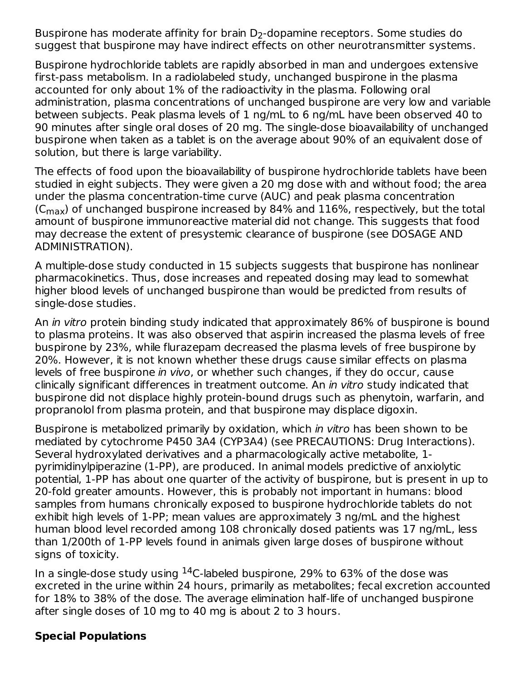Buspirone has moderate affinity for brain  $\mathsf{D}_2\text{-}\mathsf{dop}$ amine receptors. Some studies do suggest that buspirone may have indirect effects on other neurotransmitter systems.

Buspirone hydrochloride tablets are rapidly absorbed in man and undergoes extensive first-pass metabolism. In a radiolabeled study, unchanged buspirone in the plasma accounted for only about 1% of the radioactivity in the plasma. Following oral administration, plasma concentrations of unchanged buspirone are very low and variable between subjects. Peak plasma levels of 1 ng/mL to 6 ng/mL have been observed 40 to 90 minutes after single oral doses of 20 mg. The single-dose bioavailability of unchanged buspirone when taken as a tablet is on the average about 90% of an equivalent dose of solution, but there is large variability.

The effects of food upon the bioavailability of buspirone hydrochloride tablets have been studied in eight subjects. They were given a 20 mg dose with and without food; the area under the plasma concentration-time curve (AUC) and peak plasma concentration (C $_{\rm max}$ ) of unchanged buspirone increased by 84% and 116%, respectively, but the total amount of buspirone immunoreactive material did not change. This suggests that food may decrease the extent of presystemic clearance of buspirone (see DOSAGE AND ADMINISTRATION).

A multiple-dose study conducted in 15 subjects suggests that buspirone has nonlinear pharmacokinetics. Thus, dose increases and repeated dosing may lead to somewhat higher blood levels of unchanged buspirone than would be predicted from results of single-dose studies.

An *in vitro* protein binding study indicated that approximately 86% of buspirone is bound to plasma proteins. It was also observed that aspirin increased the plasma levels of free buspirone by 23%, while flurazepam decreased the plasma levels of free buspirone by 20%. However, it is not known whether these drugs cause similar effects on plasma levels of free buspirone in vivo, or whether such changes, if they do occur, cause clinically significant differences in treatment outcome. An in vitro study indicated that buspirone did not displace highly protein-bound drugs such as phenytoin, warfarin, and propranolol from plasma protein, and that buspirone may displace digoxin.

Buspirone is metabolized primarily by oxidation, which in vitro has been shown to be mediated by cytochrome P450 3A4 (CYP3A4) (see PRECAUTIONS: Drug Interactions). Several hydroxylated derivatives and a pharmacologically active metabolite, 1 pyrimidinylpiperazine (1-PP), are produced. In animal models predictive of anxiolytic potential, 1-PP has about one quarter of the activity of buspirone, but is present in up to 20-fold greater amounts. However, this is probably not important in humans: blood samples from humans chronically exposed to buspirone hydrochloride tablets do not exhibit high levels of 1-PP; mean values are approximately 3 ng/mL and the highest human blood level recorded among 108 chronically dosed patients was 17 ng/mL, less than 1/200th of 1-PP levels found in animals given large doses of buspirone without signs of toxicity.

In a single-dose study using  $^{14}$ C-labeled buspirone, 29% to 63% of the dose was excreted in the urine within 24 hours, primarily as metabolites; fecal excretion accounted for 18% to 38% of the dose. The average elimination half-life of unchanged buspirone after single doses of 10 mg to 40 mg is about 2 to 3 hours.

## **Special Populations**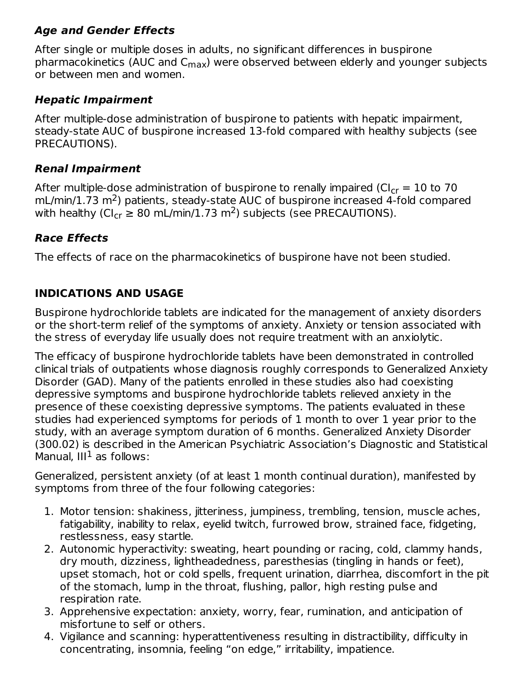## **Age and Gender Effects**

After single or multiple doses in adults, no significant differences in buspirone pharmacokinetics (AUC and C<sub>max</sub>) were observed between elderly and younger subjects or between men and women.

## **Hepatic Impairment**

After multiple-dose administration of buspirone to patients with hepatic impairment, steady-state AUC of buspirone increased 13-fold compared with healthy subjects (see PRECAUTIONS).

## **Renal Impairment**

After multiple-dose administration of buspirone to renally impaired (CI $_{\rm cr}$  = 10 to 70  $\,$  $mL/min/1.73 m<sup>2</sup>$ ) patients, steady-state AUC of buspirone increased 4-fold compared with healthy (Cl<sub>cr</sub>  $\geq 80$  mL/min/1.73 m<sup>2</sup>) subjects (see PRECAUTIONS).

# **Race Effects**

The effects of race on the pharmacokinetics of buspirone have not been studied.

## **INDICATIONS AND USAGE**

Buspirone hydrochloride tablets are indicated for the management of anxiety disorders or the short-term relief of the symptoms of anxiety. Anxiety or tension associated with the stress of everyday life usually does not require treatment with an anxiolytic.

The efficacy of buspirone hydrochloride tablets have been demonstrated in controlled clinical trials of outpatients whose diagnosis roughly corresponds to Generalized Anxiety Disorder (GAD). Many of the patients enrolled in these studies also had coexisting depressive symptoms and buspirone hydrochloride tablets relieved anxiety in the presence of these coexisting depressive symptoms. The patients evaluated in these studies had experienced symptoms for periods of 1 month to over 1 year prior to the study, with an average symptom duration of 6 months. Generalized Anxiety Disorder (300.02) is described in the American Psychiatric Association's Diagnostic and Statistical Manual,  $III<sup>1</sup>$  as follows:

Generalized, persistent anxiety (of at least 1 month continual duration), manifested by symptoms from three of the four following categories:

- 1. Motor tension: shakiness, jitteriness, jumpiness, trembling, tension, muscle aches, fatigability, inability to relax, eyelid twitch, furrowed brow, strained face, fidgeting, restlessness, easy startle.
- 2. Autonomic hyperactivity: sweating, heart pounding or racing, cold, clammy hands, dry mouth, dizziness, lightheadedness, paresthesias (tingling in hands or feet), upset stomach, hot or cold spells, frequent urination, diarrhea, discomfort in the pit of the stomach, lump in the throat, flushing, pallor, high resting pulse and respiration rate.
- 3. Apprehensive expectation: anxiety, worry, fear, rumination, and anticipation of misfortune to self or others.
- 4. Vigilance and scanning: hyperattentiveness resulting in distractibility, difficulty in concentrating, insomnia, feeling "on edge," irritability, impatience.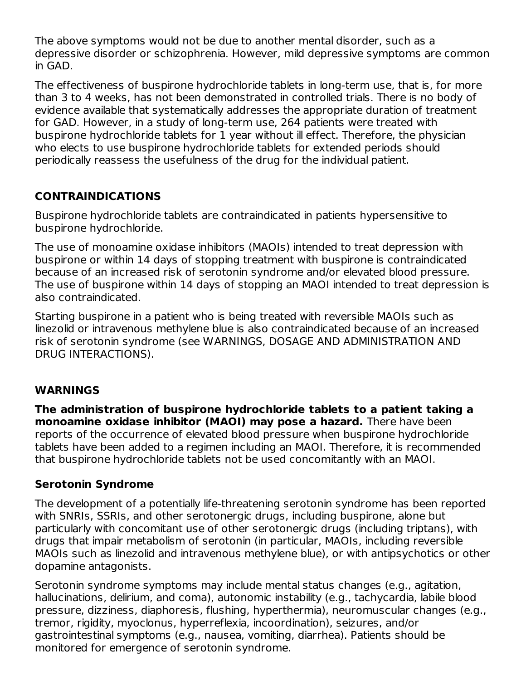The above symptoms would not be due to another mental disorder, such as a depressive disorder or schizophrenia. However, mild depressive symptoms are common in GAD.

The effectiveness of buspirone hydrochloride tablets in long-term use, that is, for more than 3 to 4 weeks, has not been demonstrated in controlled trials. There is no body of evidence available that systematically addresses the appropriate duration of treatment for GAD. However, in a study of long-term use, 264 patients were treated with buspirone hydrochloride tablets for 1 year without ill effect. Therefore, the physician who elects to use buspirone hydrochloride tablets for extended periods should periodically reassess the usefulness of the drug for the individual patient.

## **CONTRAINDICATIONS**

Buspirone hydrochloride tablets are contraindicated in patients hypersensitive to buspirone hydrochloride.

The use of monoamine oxidase inhibitors (MAOIs) intended to treat depression with buspirone or within 14 days of stopping treatment with buspirone is contraindicated because of an increased risk of serotonin syndrome and/or elevated blood pressure. The use of buspirone within 14 days of stopping an MAOI intended to treat depression is also contraindicated.

Starting buspirone in a patient who is being treated with reversible MAOIs such as linezolid or intravenous methylene blue is also contraindicated because of an increased risk of serotonin syndrome (see WARNINGS, DOSAGE AND ADMINISTRATION AND DRUG INTERACTIONS).

#### **WARNINGS**

**The administration of buspirone hydrochloride tablets to a patient taking a monoamine oxidase inhibitor (MAOI) may pose a hazard.** There have been reports of the occurrence of elevated blood pressure when buspirone hydrochloride tablets have been added to a regimen including an MAOI. Therefore, it is recommended that buspirone hydrochloride tablets not be used concomitantly with an MAOI.

#### **Serotonin Syndrome**

The development of a potentially life-threatening serotonin syndrome has been reported with SNRIs, SSRIs, and other serotonergic drugs, including buspirone, alone but particularly with concomitant use of other serotonergic drugs (including triptans), with drugs that impair metabolism of serotonin (in particular, MAOIs, including reversible MAOIs such as linezolid and intravenous methylene blue), or with antipsychotics or other dopamine antagonists.

Serotonin syndrome symptoms may include mental status changes (e.g., agitation, hallucinations, delirium, and coma), autonomic instability (e.g., tachycardia, labile blood pressure, dizziness, diaphoresis, flushing, hyperthermia), neuromuscular changes (e.g., tremor, rigidity, myoclonus, hyperreflexia, incoordination), seizures, and/or gastrointestinal symptoms (e.g., nausea, vomiting, diarrhea). Patients should be monitored for emergence of serotonin syndrome.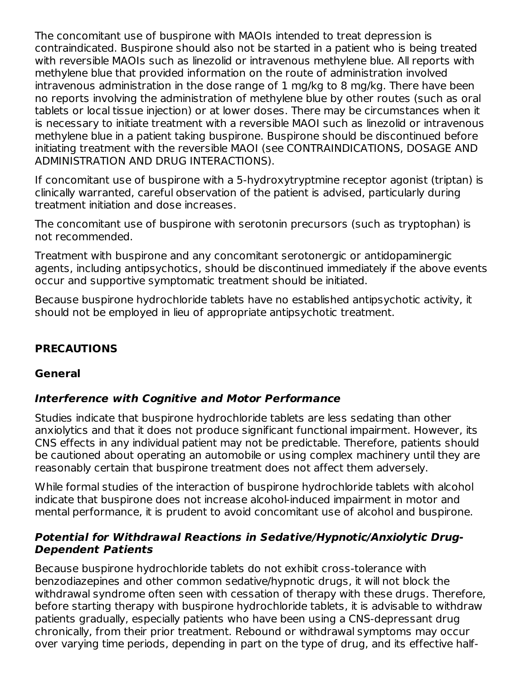The concomitant use of buspirone with MAOIs intended to treat depression is contraindicated. Buspirone should also not be started in a patient who is being treated with reversible MAOIs such as linezolid or intravenous methylene blue. All reports with methylene blue that provided information on the route of administration involved intravenous administration in the dose range of 1 mg/kg to 8 mg/kg. There have been no reports involving the administration of methylene blue by other routes (such as oral tablets or local tissue injection) or at lower doses. There may be circumstances when it is necessary to initiate treatment with a reversible MAOI such as linezolid or intravenous methylene blue in a patient taking buspirone. Buspirone should be discontinued before initiating treatment with the reversible MAOI (see CONTRAINDICATIONS, DOSAGE AND ADMINISTRATION AND DRUG INTERACTIONS).

If concomitant use of buspirone with a 5-hydroxytryptmine receptor agonist (triptan) is clinically warranted, careful observation of the patient is advised, particularly during treatment initiation and dose increases.

The concomitant use of buspirone with serotonin precursors (such as tryptophan) is not recommended.

Treatment with buspirone and any concomitant serotonergic or antidopaminergic agents, including antipsychotics, should be discontinued immediately if the above events occur and supportive symptomatic treatment should be initiated.

Because buspirone hydrochloride tablets have no established antipsychotic activity, it should not be employed in lieu of appropriate antipsychotic treatment.

## **PRECAUTIONS**

#### **General**

## **Interference with Cognitive and Motor Performance**

Studies indicate that buspirone hydrochloride tablets are less sedating than other anxiolytics and that it does not produce significant functional impairment. However, its CNS effects in any individual patient may not be predictable. Therefore, patients should be cautioned about operating an automobile or using complex machinery until they are reasonably certain that buspirone treatment does not affect them adversely.

While formal studies of the interaction of buspirone hydrochloride tablets with alcohol indicate that buspirone does not increase alcohol-induced impairment in motor and mental performance, it is prudent to avoid concomitant use of alcohol and buspirone.

#### **Potential for Withdrawal Reactions in Sedative/Hypnotic/Anxiolytic Drug-Dependent Patients**

Because buspirone hydrochloride tablets do not exhibit cross-tolerance with benzodiazepines and other common sedative/hypnotic drugs, it will not block the withdrawal syndrome often seen with cessation of therapy with these drugs. Therefore, before starting therapy with buspirone hydrochloride tablets, it is advisable to withdraw patients gradually, especially patients who have been using a CNS-depressant drug chronically, from their prior treatment. Rebound or withdrawal symptoms may occur over varying time periods, depending in part on the type of drug, and its effective half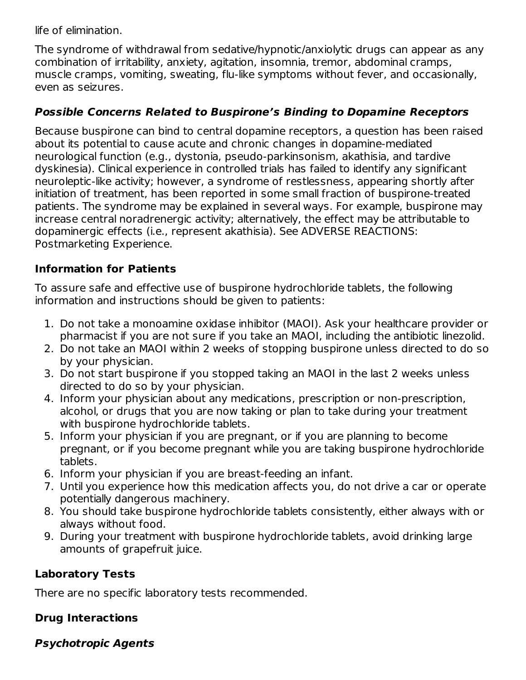life of elimination.

The syndrome of withdrawal from sedative/hypnotic/anxiolytic drugs can appear as any combination of irritability, anxiety, agitation, insomnia, tremor, abdominal cramps, muscle cramps, vomiting, sweating, flu-like symptoms without fever, and occasionally, even as seizures.

#### **Possible Concerns Related to Buspirone's Binding to Dopamine Receptors**

Because buspirone can bind to central dopamine receptors, a question has been raised about its potential to cause acute and chronic changes in dopamine-mediated neurological function (e.g., dystonia, pseudo-parkinsonism, akathisia, and tardive dyskinesia). Clinical experience in controlled trials has failed to identify any significant neuroleptic-like activity; however, a syndrome of restlessness, appearing shortly after initiation of treatment, has been reported in some small fraction of buspirone-treated patients. The syndrome may be explained in several ways. For example, buspirone may increase central noradrenergic activity; alternatively, the effect may be attributable to dopaminergic effects (i.e., represent akathisia). See ADVERSE REACTIONS: Postmarketing Experience.

## **Information for Patients**

To assure safe and effective use of buspirone hydrochloride tablets, the following information and instructions should be given to patients:

- 1. Do not take a monoamine oxidase inhibitor (MAOI). Ask your healthcare provider or pharmacist if you are not sure if you take an MAOI, including the antibiotic linezolid.
- 2. Do not take an MAOI within 2 weeks of stopping buspirone unless directed to do so by your physician.
- 3. Do not start buspirone if you stopped taking an MAOI in the last 2 weeks unless directed to do so by your physician.
- 4. Inform your physician about any medications, prescription or non-prescription, alcohol, or drugs that you are now taking or plan to take during your treatment with buspirone hydrochloride tablets.
- 5. Inform your physician if you are pregnant, or if you are planning to become pregnant, or if you become pregnant while you are taking buspirone hydrochloride tablets.
- 6. Inform your physician if you are breast-feeding an infant.
- 7. Until you experience how this medication affects you, do not drive a car or operate potentially dangerous machinery.
- 8. You should take buspirone hydrochloride tablets consistently, either always with or always without food.
- 9. During your treatment with buspirone hydrochloride tablets, avoid drinking large amounts of grapefruit juice.

## **Laboratory Tests**

There are no specific laboratory tests recommended.

## **Drug Interactions**

## **Psychotropic Agents**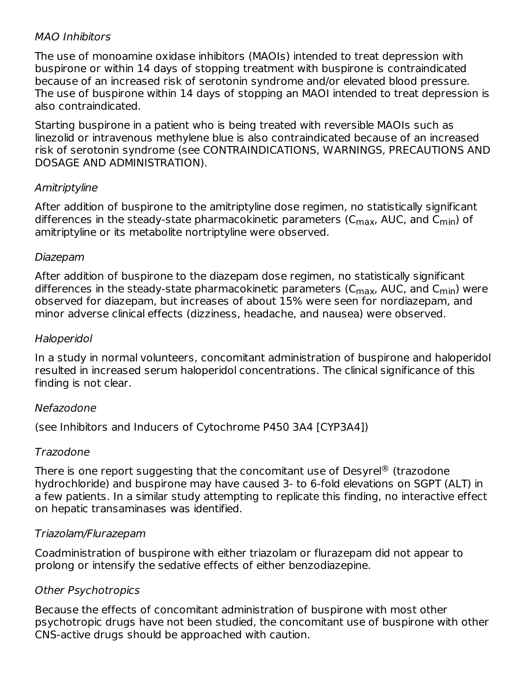#### MAO Inhibitors

The use of monoamine oxidase inhibitors (MAOIs) intended to treat depression with buspirone or within 14 days of stopping treatment with buspirone is contraindicated because of an increased risk of serotonin syndrome and/or elevated blood pressure. The use of buspirone within 14 days of stopping an MAOI intended to treat depression is also contraindicated.

Starting buspirone in a patient who is being treated with reversible MAOIs such as linezolid or intravenous methylene blue is also contraindicated because of an increased risk of serotonin syndrome (see CONTRAINDICATIONS, WARNINGS, PRECAUTIONS AND DOSAGE AND ADMINISTRATION).

#### Amitriptyline

After addition of buspirone to the amitriptyline dose regimen, no statistically significant differences in the steady-state pharmacokinetic parameters (C<sub>max</sub>, AUC, and C<sub>min</sub>) of amitriptyline or its metabolite nortriptyline were observed.

#### Diazepam

After addition of buspirone to the diazepam dose regimen, no statistically significant differences in the steady-state pharmacokinetic parameters (C<sub>max</sub>, AUC, and C<sub>min</sub>) were observed for diazepam, but increases of about 15% were seen for nordiazepam, and minor adverse clinical effects (dizziness, headache, and nausea) were observed.

#### Haloperidol

In a study in normal volunteers, concomitant administration of buspirone and haloperidol resulted in increased serum haloperidol concentrations. The clinical significance of this finding is not clear.

## Nefazodone

(see Inhibitors and Inducers of Cytochrome P450 3A4 [CYP3A4])

#### Trazodone

There is one report suggesting that the concomitant use of Desyrel $^\circledR$  (trazodone hydrochloride) and buspirone may have caused 3- to 6-fold elevations on SGPT (ALT) in a few patients. In a similar study attempting to replicate this finding, no interactive effect on hepatic transaminases was identified.

## Triazolam/Flurazepam

Coadministration of buspirone with either triazolam or flurazepam did not appear to prolong or intensify the sedative effects of either benzodiazepine.

## Other Psychotropics

Because the effects of concomitant administration of buspirone with most other psychotropic drugs have not been studied, the concomitant use of buspirone with other CNS-active drugs should be approached with caution.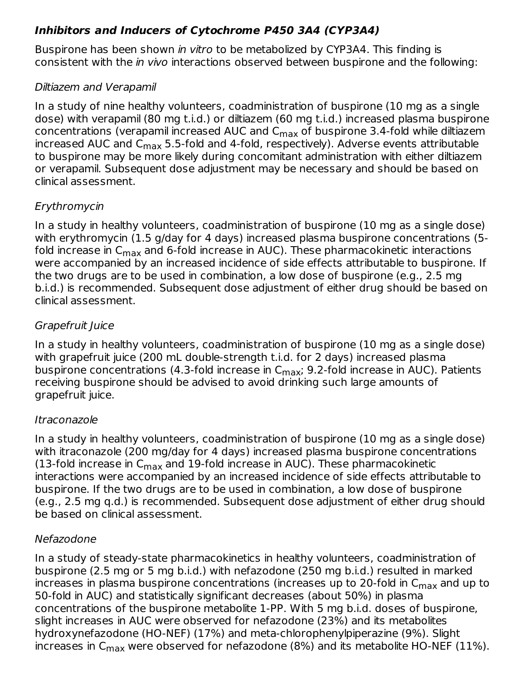## **Inhibitors and Inducers of Cytochrome P450 3A4 (CYP3A4)**

Buspirone has been shown in vitro to be metabolized by CYP3A4. This finding is consistent with the in vivo interactions observed between buspirone and the following:

## Diltiazem and Verapamil

In a study of nine healthy volunteers, coadministration of buspirone (10 mg as a single dose) with verapamil (80 mg t.i.d.) or diltiazem (60 mg t.i.d.) increased plasma buspirone concentrations (verapamil increased AUC and  $\mathsf{C}_{\mathsf{max}}$  of buspirone 3.4-fold while diltiazem increased AUC and C $_{\sf max}$  5.5-fold and 4-fold, respectively). Adverse events attributable to buspirone may be more likely during concomitant administration with either diltiazem or verapamil. Subsequent dose adjustment may be necessary and should be based on clinical assessment.

## Erythromycin

In a study in healthy volunteers, coadministration of buspirone (10 mg as a single dose) with erythromycin (1.5 g/day for 4 days) increased plasma buspirone concentrations (5 fold increase in C<sub>max</sub> and 6-fold increase in AUC). These pharmacokinetic interactions were accompanied by an increased incidence of side effects attributable to buspirone. If the two drugs are to be used in combination, a low dose of buspirone (e.g., 2.5 mg b.i.d.) is recommended. Subsequent dose adjustment of either drug should be based on clinical assessment.

## Grapefruit Juice

In a study in healthy volunteers, coadministration of buspirone (10 mg as a single dose) with grapefruit juice (200 mL double-strength t.i.d. for 2 days) increased plasma buspirone concentrations (4.3-fold increase in C<sub>max</sub>; 9.2-fold increase in AUC). Patients receiving buspirone should be advised to avoid drinking such large amounts of grapefruit juice.

## Itraconazole

In a study in healthy volunteers, coadministration of buspirone (10 mg as a single dose) with itraconazole (200 mg/day for 4 days) increased plasma buspirone concentrations (13-fold increase in  $\mathsf{C}_{\mathsf{max}}$  and 19-fold increase in AUC). These pharmacokinetic interactions were accompanied by an increased incidence of side effects attributable to buspirone. If the two drugs are to be used in combination, a low dose of buspirone (e.g., 2.5 mg q.d.) is recommended. Subsequent dose adjustment of either drug should be based on clinical assessment.

## Nefazodone

In a study of steady-state pharmacokinetics in healthy volunteers, coadministration of buspirone (2.5 mg or 5 mg b.i.d.) with nefazodone (250 mg b.i.d.) resulted in marked increases in plasma buspirone concentrations (increases up to 20-fold in  $\mathsf{C}_{\mathsf{max}}$  and up to 50-fold in AUC) and statistically significant decreases (about 50%) in plasma concentrations of the buspirone metabolite 1-PP. With 5 mg b.i.d. doses of buspirone, slight increases in AUC were observed for nefazodone (23%) and its metabolites hydroxynefazodone (HO-NEF) (17%) and meta-chlorophenylpiperazine (9%). Slight increases in C<sub>max</sub> were observed for nefazodone (8%) and its metabolite HO-NEF (11%).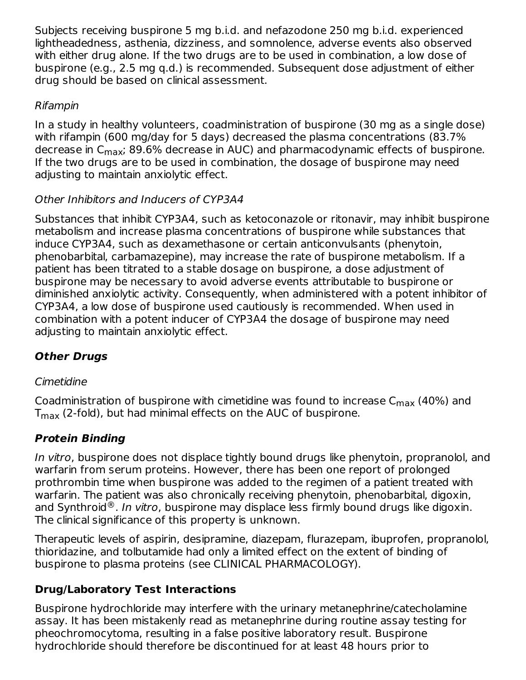Subjects receiving buspirone 5 mg b.i.d. and nefazodone 250 mg b.i.d. experienced lightheadedness, asthenia, dizziness, and somnolence, adverse events also observed with either drug alone. If the two drugs are to be used in combination, a low dose of buspirone (e.g., 2.5 mg q.d.) is recommended. Subsequent dose adjustment of either drug should be based on clinical assessment.

## Rifampin

In a study in healthy volunteers, coadministration of buspirone (30 mg as a single dose) with rifampin (600 mg/day for 5 days) decreased the plasma concentrations (83.7% decrease in C<sub>max</sub>; 89.6% decrease in AUC) and pharmacodynamic effects of buspirone. If the two drugs are to be used in combination, the dosage of buspirone may need adjusting to maintain anxiolytic effect.

## Other Inhibitors and Inducers of CYP3A4

Substances that inhibit CYP3A4, such as ketoconazole or ritonavir, may inhibit buspirone metabolism and increase plasma concentrations of buspirone while substances that induce CYP3A4, such as dexamethasone or certain anticonvulsants (phenytoin, phenobarbital, carbamazepine), may increase the rate of buspirone metabolism. If a patient has been titrated to a stable dosage on buspirone, a dose adjustment of buspirone may be necessary to avoid adverse events attributable to buspirone or diminished anxiolytic activity. Consequently, when administered with a potent inhibitor of CYP3A4, a low dose of buspirone used cautiously is recommended. When used in combination with a potent inducer of CYP3A4 the dosage of buspirone may need adjusting to maintain anxiolytic effect.

# **Other Drugs**

## Cimetidine

Coadministration of buspirone with cimetidine was found to increase  $\mathsf{C}_{\mathsf{max}}$  (40%) and  ${\sf T}_{\sf max}$  (2-fold), but had minimal effects on the AUC of buspirone.

## **Protein Binding**

In vitro, buspirone does not displace tightly bound drugs like phenytoin, propranolol, and warfarin from serum proteins. However, there has been one report of prolonged prothrombin time when buspirone was added to the regimen of a patient treated with warfarin. The patient was also chronically receiving phenytoin, phenobarbital, digoxin, and Synthroid $^{\circledR}$ . I*n vitro*, buspirone may displace less firmly bound drugs like digoxin. The clinical significance of this property is unknown.

Therapeutic levels of aspirin, desipramine, diazepam, flurazepam, ibuprofen, propranolol, thioridazine, and tolbutamide had only a limited effect on the extent of binding of buspirone to plasma proteins (see CLINICAL PHARMACOLOGY).

## **Drug/Laboratory Test Interactions**

Buspirone hydrochloride may interfere with the urinary metanephrine/catecholamine assay. It has been mistakenly read as metanephrine during routine assay testing for pheochromocytoma, resulting in a false positive laboratory result. Buspirone hydrochloride should therefore be discontinued for at least 48 hours prior to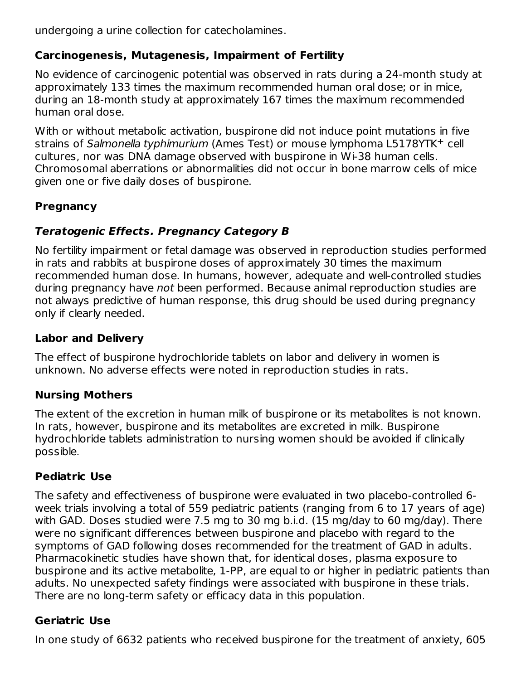undergoing a urine collection for catecholamines.

## **Carcinogenesis, Mutagenesis, Impairment of Fertility**

No evidence of carcinogenic potential was observed in rats during a 24-month study at approximately 133 times the maximum recommended human oral dose; or in mice, during an 18-month study at approximately 167 times the maximum recommended human oral dose.

With or without metabolic activation, buspirone did not induce point mutations in five strains of Salmonella typhimurium (Ames Test) or mouse lymphoma L5178YTK<sup>+</sup> cell cultures, nor was DNA damage observed with buspirone in Wi-38 human cells. Chromosomal aberrations or abnormalities did not occur in bone marrow cells of mice given one or five daily doses of buspirone.

## **Pregnancy**

## **Teratogenic Effects. Pregnancy Category B**

No fertility impairment or fetal damage was observed in reproduction studies performed in rats and rabbits at buspirone doses of approximately 30 times the maximum recommended human dose. In humans, however, adequate and well-controlled studies during pregnancy have not been performed. Because animal reproduction studies are not always predictive of human response, this drug should be used during pregnancy only if clearly needed.

#### **Labor and Delivery**

The effect of buspirone hydrochloride tablets on labor and delivery in women is unknown. No adverse effects were noted in reproduction studies in rats.

#### **Nursing Mothers**

The extent of the excretion in human milk of buspirone or its metabolites is not known. In rats, however, buspirone and its metabolites are excreted in milk. Buspirone hydrochloride tablets administration to nursing women should be avoided if clinically possible.

## **Pediatric Use**

The safety and effectiveness of buspirone were evaluated in two placebo-controlled 6 week trials involving a total of 559 pediatric patients (ranging from 6 to 17 years of age) with GAD. Doses studied were 7.5 mg to 30 mg b.i.d. (15 mg/day to 60 mg/day). There were no significant differences between buspirone and placebo with regard to the symptoms of GAD following doses recommended for the treatment of GAD in adults. Pharmacokinetic studies have shown that, for identical doses, plasma exposure to buspirone and its active metabolite, 1-PP, are equal to or higher in pediatric patients than adults. No unexpected safety findings were associated with buspirone in these trials. There are no long-term safety or efficacy data in this population.

## **Geriatric Use**

In one study of 6632 patients who received buspirone for the treatment of anxiety, 605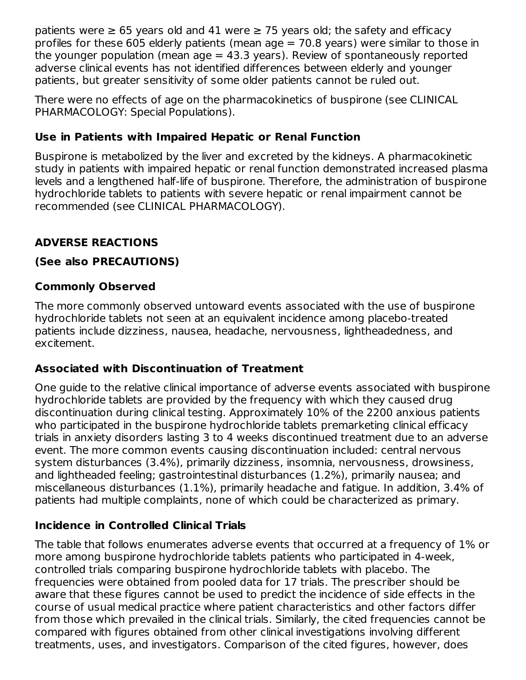patients were  $\geq 65$  years old and 41 were  $\geq 75$  years old; the safety and efficacy profiles for these 605 elderly patients (mean age  $= 70.8$  years) were similar to those in the younger population (mean  $aq = 43.3$  years). Review of spontaneously reported adverse clinical events has not identified differences between elderly and younger patients, but greater sensitivity of some older patients cannot be ruled out.

There were no effects of age on the pharmacokinetics of buspirone (see CLINICAL PHARMACOLOGY: Special Populations).

## **Use in Patients with Impaired Hepatic or Renal Function**

Buspirone is metabolized by the liver and excreted by the kidneys. A pharmacokinetic study in patients with impaired hepatic or renal function demonstrated increased plasma levels and a lengthened half-life of buspirone. Therefore, the administration of buspirone hydrochloride tablets to patients with severe hepatic or renal impairment cannot be recommended (see CLINICAL PHARMACOLOGY).

## **ADVERSE REACTIONS**

## **(See also PRECAUTIONS)**

## **Commonly Observed**

The more commonly observed untoward events associated with the use of buspirone hydrochloride tablets not seen at an equivalent incidence among placebo-treated patients include dizziness, nausea, headache, nervousness, lightheadedness, and excitement.

## **Associated with Discontinuation of Treatment**

One guide to the relative clinical importance of adverse events associated with buspirone hydrochloride tablets are provided by the frequency with which they caused drug discontinuation during clinical testing. Approximately 10% of the 2200 anxious patients who participated in the buspirone hydrochloride tablets premarketing clinical efficacy trials in anxiety disorders lasting 3 to 4 weeks discontinued treatment due to an adverse event. The more common events causing discontinuation included: central nervous system disturbances (3.4%), primarily dizziness, insomnia, nervousness, drowsiness, and lightheaded feeling; gastrointestinal disturbances (1.2%), primarily nausea; and miscellaneous disturbances (1.1%), primarily headache and fatigue. In addition, 3.4% of patients had multiple complaints, none of which could be characterized as primary.

## **Incidence in Controlled Clinical Trials**

The table that follows enumerates adverse events that occurred at a frequency of 1% or more among buspirone hydrochloride tablets patients who participated in 4-week, controlled trials comparing buspirone hydrochloride tablets with placebo. The frequencies were obtained from pooled data for 17 trials. The prescriber should be aware that these figures cannot be used to predict the incidence of side effects in the course of usual medical practice where patient characteristics and other factors differ from those which prevailed in the clinical trials. Similarly, the cited frequencies cannot be compared with figures obtained from other clinical investigations involving different treatments, uses, and investigators. Comparison of the cited figures, however, does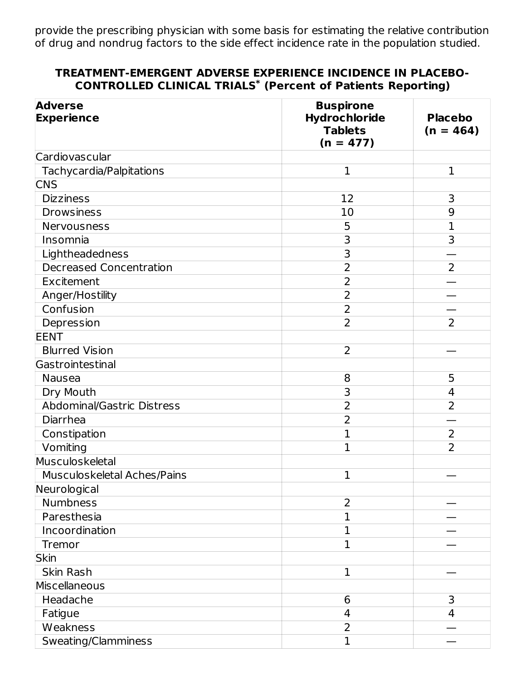provide the prescribing physician with some basis for estimating the relative contribution of drug and nondrug factors to the side effect incidence rate in the population studied.

#### **TREATMENT-EMERGENT ADVERSE EXPERIENCE INCIDENCE IN PLACEBO-CONTROLLED CLINICAL TRIALS (Percent of Patients Reporting) \***

| <b>Adverse</b><br><b>Experience</b> | <b>Buspirone</b><br>Hydrochloride<br><b>Tablets</b><br>$(n = 477)$ | <b>Placebo</b><br>$(n = 464)$ |
|-------------------------------------|--------------------------------------------------------------------|-------------------------------|
| Cardiovascular                      |                                                                    |                               |
| Tachycardia/Palpitations            | $\mathbf 1$                                                        | $\mathbf{1}$                  |
| <b>CNS</b>                          |                                                                    |                               |
| <b>Dizziness</b>                    | 12                                                                 | 3                             |
| <b>Drowsiness</b>                   | 10                                                                 | 9                             |
| Nervousness                         | 5                                                                  | 1                             |
| Insomnia                            | 3                                                                  | 3                             |
| Lightheadedness                     | 3                                                                  |                               |
| <b>Decreased Concentration</b>      | $\overline{2}$                                                     | $\overline{2}$                |
| Excitement                          | $\overline{2}$                                                     |                               |
| Anger/Hostility                     | $\overline{2}$                                                     |                               |
| Confusion                           | $\overline{2}$                                                     |                               |
| Depression                          | $\overline{2}$                                                     | $\overline{2}$                |
| <b>EENT</b>                         |                                                                    |                               |
| <b>Blurred Vision</b>               | $\overline{2}$                                                     |                               |
| Gastrointestinal                    |                                                                    |                               |
| <b>Nausea</b>                       | 8                                                                  | 5                             |
| Dry Mouth                           | 3                                                                  | $\overline{4}$                |
| Abdominal/Gastric Distress          | $\overline{2}$                                                     | $\overline{2}$                |
| Diarrhea                            | $\overline{2}$                                                     |                               |
| Constipation                        | $\overline{1}$                                                     | 2                             |
| Vomiting                            | 1                                                                  | $\overline{2}$                |
| Musculoskeletal                     |                                                                    |                               |
| Musculoskeletal Aches/Pains         | 1                                                                  |                               |
| Neurological                        |                                                                    |                               |
| <b>Numbness</b>                     | 2                                                                  |                               |
| Paresthesia                         | 1                                                                  |                               |
| Incoordination                      | 1                                                                  |                               |
| Tremor                              | $\mathbf{1}$                                                       |                               |
| <b>Skin</b>                         |                                                                    |                               |
| Skin Rash                           | 1                                                                  |                               |
| Miscellaneous                       |                                                                    |                               |
| Headache                            | 6                                                                  | 3                             |
| Fatigue                             | 4                                                                  | 4                             |
| Weakness                            | $\overline{2}$                                                     |                               |
| Sweating/Clamminess                 | $\mathbf 1$                                                        |                               |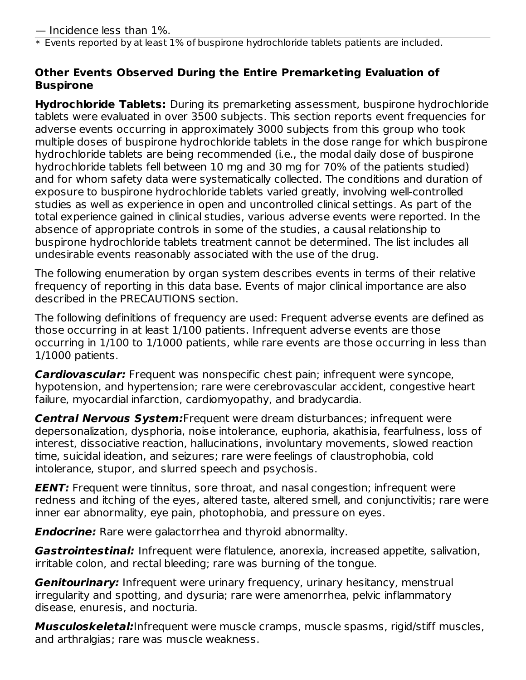$\,^*$  Events reported by at least  $1\%$  of buspirone hydrochloride tablets patients are included.

#### **Other Events Observed During the Entire Premarketing Evaluation of Buspirone**

**Hydrochloride Tablets:** During its premarketing assessment, buspirone hydrochloride tablets were evaluated in over 3500 subjects. This section reports event frequencies for adverse events occurring in approximately 3000 subjects from this group who took multiple doses of buspirone hydrochloride tablets in the dose range for which buspirone hydrochloride tablets are being recommended (i.e., the modal daily dose of buspirone hydrochloride tablets fell between 10 mg and 30 mg for 70% of the patients studied) and for whom safety data were systematically collected. The conditions and duration of exposure to buspirone hydrochloride tablets varied greatly, involving well-controlled studies as well as experience in open and uncontrolled clinical settings. As part of the total experience gained in clinical studies, various adverse events were reported. In the absence of appropriate controls in some of the studies, a causal relationship to buspirone hydrochloride tablets treatment cannot be determined. The list includes all undesirable events reasonably associated with the use of the drug.

The following enumeration by organ system describes events in terms of their relative frequency of reporting in this data base. Events of major clinical importance are also described in the PRECAUTIONS section.

The following definitions of frequency are used: Frequent adverse events are defined as those occurring in at least 1/100 patients. Infrequent adverse events are those occurring in 1/100 to 1/1000 patients, while rare events are those occurring in less than 1/1000 patients.

**Cardiovascular:** Frequent was nonspecific chest pain; infrequent were syncope, hypotension, and hypertension; rare were cerebrovascular accident, congestive heart failure, myocardial infarction, cardiomyopathy, and bradycardia.

**Central Nervous System:**Frequent were dream disturbances; infrequent were depersonalization, dysphoria, noise intolerance, euphoria, akathisia, fearfulness, loss of interest, dissociative reaction, hallucinations, involuntary movements, slowed reaction time, suicidal ideation, and seizures; rare were feelings of claustrophobia, cold intolerance, stupor, and slurred speech and psychosis.

**EENT:** Frequent were tinnitus, sore throat, and nasal congestion; infrequent were redness and itching of the eyes, altered taste, altered smell, and conjunctivitis; rare were inner ear abnormality, eye pain, photophobia, and pressure on eyes.

**Endocrine:** Rare were galactorrhea and thyroid abnormality.

**Gastrointestinal:** Infrequent were flatulence, anorexia, increased appetite, salivation, irritable colon, and rectal bleeding; rare was burning of the tongue.

**Genitourinary:** Infrequent were urinary frequency, urinary hesitancy, menstrual irregularity and spotting, and dysuria; rare were amenorrhea, pelvic inflammatory disease, enuresis, and nocturia.

**Musculoskeletal:**Infrequent were muscle cramps, muscle spasms, rigid/stiff muscles, and arthralgias; rare was muscle weakness.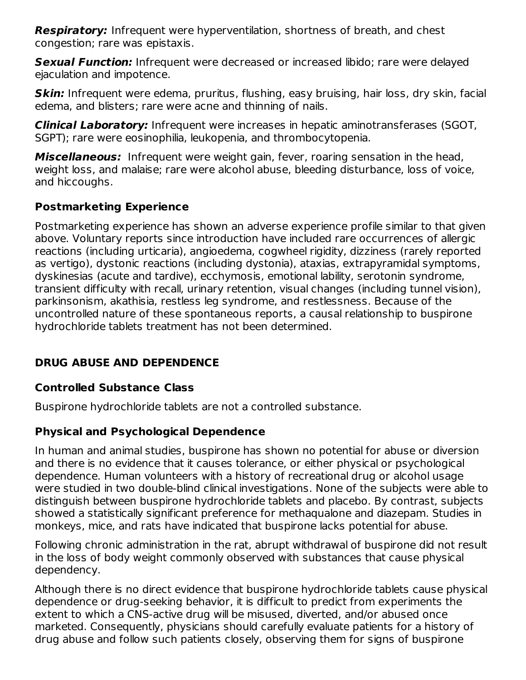**Respiratory:** Infrequent were hyperventilation, shortness of breath, and chest congestion; rare was epistaxis.

**Sexual Function:** Infrequent were decreased or increased libido; rare were delayed ejaculation and impotence.

**Skin:** Infrequent were edema, pruritus, flushing, easy bruising, hair loss, dry skin, facial edema, and blisters; rare were acne and thinning of nails.

**Clinical Laboratory:** Infrequent were increases in hepatic aminotransferases (SGOT, SGPT); rare were eosinophilia, leukopenia, and thrombocytopenia.

**Miscellaneous:** Infrequent were weight gain, fever, roaring sensation in the head, weight loss, and malaise; rare were alcohol abuse, bleeding disturbance, loss of voice, and hiccoughs.

## **Postmarketing Experience**

Postmarketing experience has shown an adverse experience profile similar to that given above. Voluntary reports since introduction have included rare occurrences of allergic reactions (including urticaria), angioedema, cogwheel rigidity, dizziness (rarely reported as vertigo), dystonic reactions (including dystonia), ataxias, extrapyramidal symptoms, dyskinesias (acute and tardive), ecchymosis, emotional lability, serotonin syndrome, transient difficulty with recall, urinary retention, visual changes (including tunnel vision), parkinsonism, akathisia, restless leg syndrome, and restlessness. Because of the uncontrolled nature of these spontaneous reports, a causal relationship to buspirone hydrochloride tablets treatment has not been determined.

## **DRUG ABUSE AND DEPENDENCE**

## **Controlled Substance Class**

Buspirone hydrochloride tablets are not a controlled substance.

## **Physical and Psychological Dependence**

In human and animal studies, buspirone has shown no potential for abuse or diversion and there is no evidence that it causes tolerance, or either physical or psychological dependence. Human volunteers with a history of recreational drug or alcohol usage were studied in two double-blind clinical investigations. None of the subjects were able to distinguish between buspirone hydrochloride tablets and placebo. By contrast, subjects showed a statistically significant preference for methaqualone and diazepam. Studies in monkeys, mice, and rats have indicated that buspirone lacks potential for abuse.

Following chronic administration in the rat, abrupt withdrawal of buspirone did not result in the loss of body weight commonly observed with substances that cause physical dependency.

Although there is no direct evidence that buspirone hydrochloride tablets cause physical dependence or drug-seeking behavior, it is difficult to predict from experiments the extent to which a CNS-active drug will be misused, diverted, and/or abused once marketed. Consequently, physicians should carefully evaluate patients for a history of drug abuse and follow such patients closely, observing them for signs of buspirone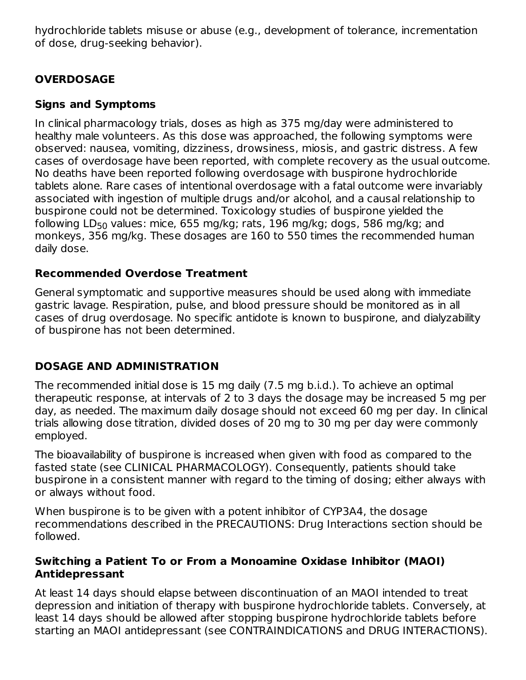hydrochloride tablets misuse or abuse (e.g., development of tolerance, incrementation of dose, drug-seeking behavior).

## **OVERDOSAGE**

## **Signs and Symptoms**

In clinical pharmacology trials, doses as high as 375 mg/day were administered to healthy male volunteers. As this dose was approached, the following symptoms were observed: nausea, vomiting, dizziness, drowsiness, miosis, and gastric distress. A few cases of overdosage have been reported, with complete recovery as the usual outcome. No deaths have been reported following overdosage with buspirone hydrochloride tablets alone. Rare cases of intentional overdosage with a fatal outcome were invariably associated with ingestion of multiple drugs and/or alcohol, and a causal relationship to buspirone could not be determined. Toxicology studies of buspirone yielded the following LD $_{50}$  values: mice, 655 mg/kg; rats, 196 mg/kg; dogs, 586 mg/kg; and monkeys, 356 mg/kg. These dosages are 160 to 550 times the recommended human daily dose.

#### **Recommended Overdose Treatment**

General symptomatic and supportive measures should be used along with immediate gastric lavage. Respiration, pulse, and blood pressure should be monitored as in all cases of drug overdosage. No specific antidote is known to buspirone, and dialyzability of buspirone has not been determined.

## **DOSAGE AND ADMINISTRATION**

The recommended initial dose is 15 mg daily (7.5 mg b.i.d.). To achieve an optimal therapeutic response, at intervals of 2 to 3 days the dosage may be increased 5 mg per day, as needed. The maximum daily dosage should not exceed 60 mg per day. In clinical trials allowing dose titration, divided doses of 20 mg to 30 mg per day were commonly employed.

The bioavailability of buspirone is increased when given with food as compared to the fasted state (see CLINICAL PHARMACOLOGY). Consequently, patients should take buspirone in a consistent manner with regard to the timing of dosing; either always with or always without food.

When buspirone is to be given with a potent inhibitor of CYP3A4, the dosage recommendations described in the PRECAUTIONS: Drug Interactions section should be followed.

#### **Switching a Patient To or From a Monoamine Oxidase Inhibitor (MAOI) Antidepressant**

At least 14 days should elapse between discontinuation of an MAOI intended to treat depression and initiation of therapy with buspirone hydrochloride tablets. Conversely, at least 14 days should be allowed after stopping buspirone hydrochloride tablets before starting an MAOI antidepressant (see CONTRAINDICATIONS and DRUG INTERACTIONS).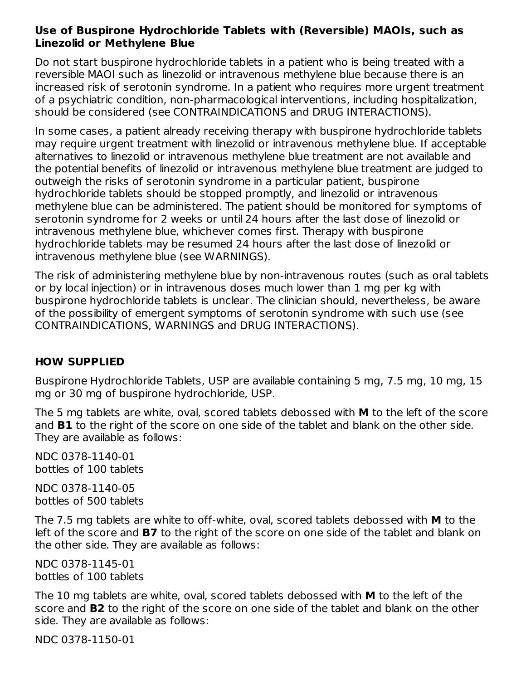#### **Use of Buspirone Hydrochloride Tablets with (Reversible) MAOIs, such as Linezolid or Methylene Blue**

Do not start buspirone hydrochloride tablets in a patient who is being treated with a reversible MAOI such as linezolid or intravenous methylene blue because there is an increased risk of serotonin syndrome. In a patient who requires more urgent treatment of a psychiatric condition, non-pharmacological interventions, including hospitalization, should be considered (see CONTRAINDICATIONS and DRUG INTERACTIONS).

In some cases, a patient already receiving therapy with buspirone hydrochloride tablets may require urgent treatment with linezolid or intravenous methylene blue. If acceptable alternatives to linezolid or intravenous methylene blue treatment are not available and the potential benefits of linezolid or intravenous methylene blue treatment are judged to outweigh the risks of serotonin syndrome in a particular patient, buspirone hydrochloride tablets should be stopped promptly, and linezolid or intravenous methylene blue can be administered. The patient should be monitored for symptoms of serotonin syndrome for 2 weeks or until 24 hours after the last dose of linezolid or intravenous methylene blue, whichever comes first. Therapy with buspirone hydrochloride tablets may be resumed 24 hours after the last dose of linezolid or intravenous methylene blue (see WARNINGS).

The risk of administering methylene blue by non-intravenous routes (such as oral tablets or by local injection) or in intravenous doses much lower than 1 mg per kg with buspirone hydrochloride tablets is unclear. The clinician should, nevertheless, be aware of the possibility of emergent symptoms of serotonin syndrome with such use (see CONTRAINDICATIONS, WARNINGS and DRUG INTERACTIONS).

#### **HOW SUPPLIED**

Buspirone Hydrochloride Tablets, USP are available containing 5 mg, 7.5 mg, 10 mg, 15 mg or 30 mg of buspirone hydrochloride, USP.

The 5 mg tablets are white, oval, scored tablets debossed with **M** to the left of the score and **B1** to the right of the score on one side of the tablet and blank on the other side. They are available as follows:

NDC 0378-1140-01 bottles of 100 tablets

NDC 0378-1140-05 bottles of 500 tablets

The 7.5 mg tablets are white to off-white, oval, scored tablets debossed with **M** to the left of the score and **B7** to the right of the score on one side of the tablet and blank on the other side. They are available as follows:

NDC 0378-1145-01 bottles of 100 tablets

The 10 mg tablets are white, oval, scored tablets debossed with **M** to the left of the score and **B2** to the right of the score on one side of the tablet and blank on the other side. They are available as follows:

NDC 0378-1150-01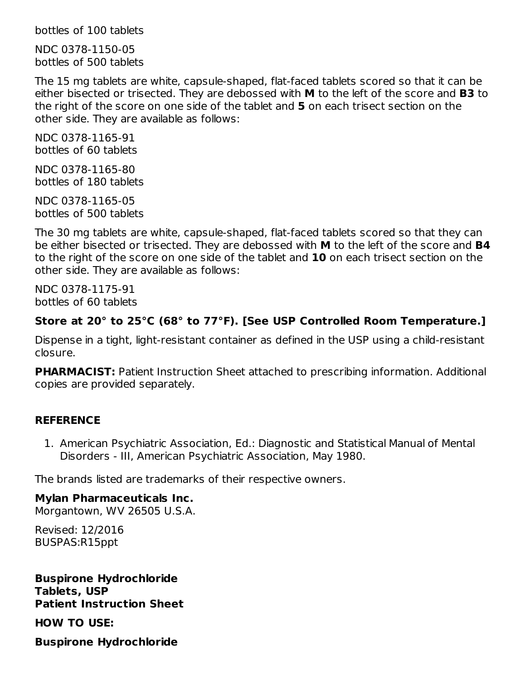bottles of 100 tablets

NDC 0378-1150-05 bottles of 500 tablets

The 15 mg tablets are white, capsule-shaped, flat-faced tablets scored so that it can be either bisected or trisected. They are debossed with **M** to the left of the score and **B3** to the right of the score on one side of the tablet and **5** on each trisect section on the other side. They are available as follows:

NDC 0378-1165-91 bottles of 60 tablets

NDC 0378-1165-80 bottles of 180 tablets

NDC 0378-1165-05 bottles of 500 tablets

The 30 mg tablets are white, capsule-shaped, flat-faced tablets scored so that they can be either bisected or trisected. They are debossed with **M** to the left of the score and **B4** to the right of the score on one side of the tablet and **10** on each trisect section on the other side. They are available as follows:

NDC 0378-1175-91 bottles of 60 tablets

## **Store at 20° to 25°C (68° to 77°F). [See USP Controlled Room Temperature.]**

Dispense in a tight, light-resistant container as defined in the USP using a child-resistant closure.

**PHARMACIST:** Patient Instruction Sheet attached to prescribing information. Additional copies are provided separately.

#### **REFERENCE**

1. American Psychiatric Association, Ed.: Diagnostic and Statistical Manual of Mental Disorders - III, American Psychiatric Association, May 1980.

The brands listed are trademarks of their respective owners.

## **Mylan Pharmaceuticals Inc.**

Morgantown, WV 26505 U.S.A.

Revised: 12/2016 BUSPAS:R15ppt

**Buspirone Hydrochloride Tablets, USP Patient Instruction Sheet**

**HOW TO USE:**

**Buspirone Hydrochloride**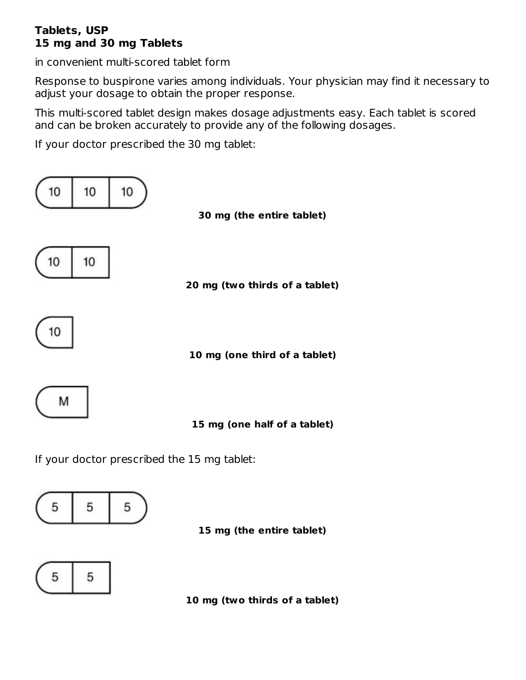#### **Tablets, USP 15 mg and 30 mg Tablets**

in convenient multi-scored tablet form

Response to buspirone varies among individuals. Your physician may find it necessary to adjust your dosage to obtain the proper response.

This multi-scored tablet design makes dosage adjustments easy. Each tablet is scored and can be broken accurately to provide any of the following dosages.

If your doctor prescribed the 30 mg tablet:



If your doctor prescribed the 15 mg tablet:







**10 mg (two thirds of a tablet)**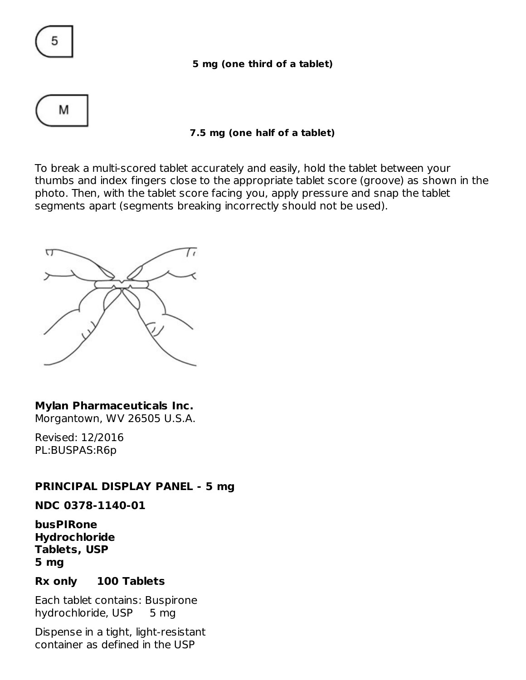

#### **5 mg (one third of a tablet)**



#### **7.5 mg (one half of a tablet)**

To break a multi-scored tablet accurately and easily, hold the tablet between your thumbs and index fingers close to the appropriate tablet score (groove) as shown in the photo. Then, with the tablet score facing you, apply pressure and snap the tablet segments apart (segments breaking incorrectly should not be used).



#### **Mylan Pharmaceuticals Inc.**

Morgantown, WV 26505 U.S.A.

Revised: 12/2016 PL:BUSPAS:R6p

#### **PRINCIPAL DISPLAY PANEL - 5 mg**

**NDC 0378-1140-01**

**busPIRone Hydrochloride Tablets, USP 5 mg**

#### **Rx only 100 Tablets**

Each tablet contains: Buspirone hydrochloride, USP 5 mg

Dispense in a tight, light-resistant container as defined in the USP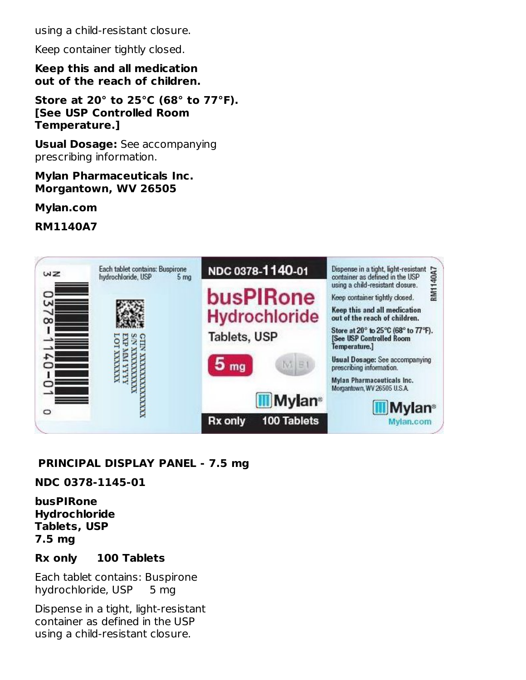using a child-resistant closure.

Keep container tightly closed.

**Keep this and all medication out of the reach of children.**

**Store at 20° to 25°C (68° to 77°F). [See USP Controlled Room Temperature.]**

**Usual Dosage:** See accompanying prescribing information.

#### **Mylan Pharmaceuticals Inc. Morgantown, WV 26505**

**Mylan.com**

**RM1140A7**



## **PRINCIPAL DISPLAY PANEL - 7.5 mg**

#### **NDC 0378-1145-01**

**busPIRone Hydrochloride Tablets, USP 7.5 mg**

#### **Rx only 100 Tablets**

Each tablet contains: Buspirone hydrochloride, USP 5 mg

Dispense in a tight, light-resistant container as defined in the USP using a child-resistant closure.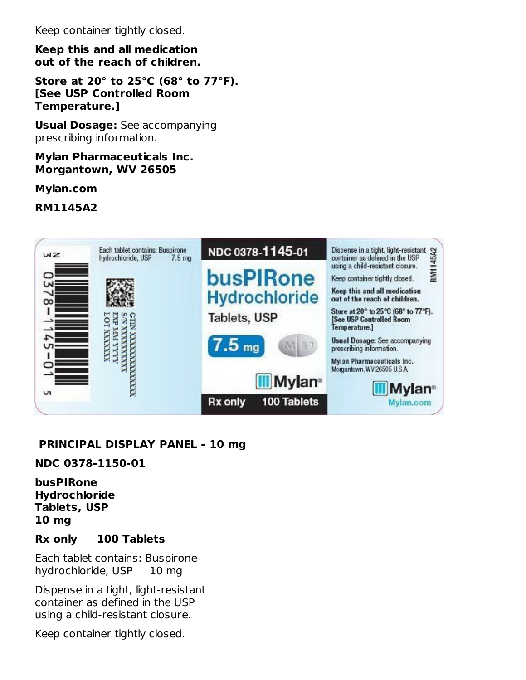Keep container tightly closed.

**Keep this and all medication out of the reach of children.**

**Store at 20° to 25°C (68° to 77°F). [See USP Controlled Room Temperature.]**

**Usual Dosage:** See accompanying prescribing information.

#### **Mylan Pharmaceuticals Inc. Morgantown, WV 26505**

**Mylan.com**

**RM1145A2**



## **PRINCIPAL DISPLAY PANEL - 10 mg**

#### **NDC 0378-1150-01**

#### **busPIRone Hydrochloride Tablets, USP 10 mg**

#### **Rx only 100 Tablets**

Each tablet contains: Buspirone hydrochloride, USP 10 mg

Dispense in a tight, light-resistant container as defined in the USP using a child-resistant closure.

Keep container tightly closed.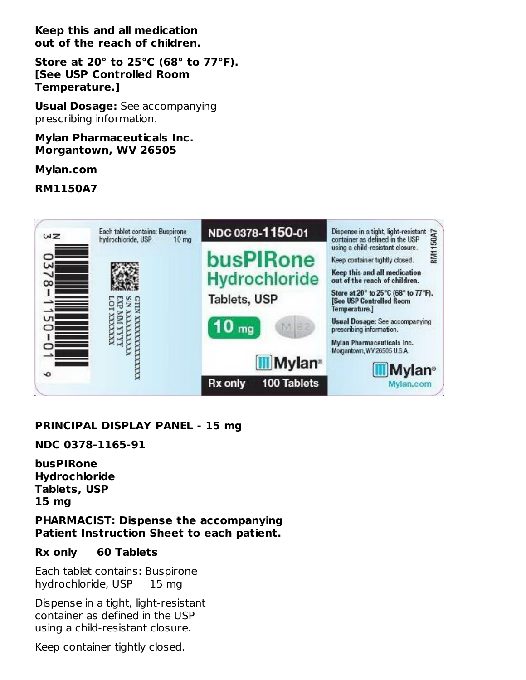**Keep this and all medication out of the reach of children.**

**Store at 20° to 25°C (68° to 77°F). [See USP Controlled Room Temperature.]**

**Usual Dosage:** See accompanying prescribing information.

**Mylan Pharmaceuticals Inc. Morgantown, WV 26505**

**Mylan.com**

**RM1150A7**



#### **PRINCIPAL DISPLAY PANEL - 15 mg**

**NDC 0378-1165-91**

**busPIRone Hydrochloride Tablets, USP 15 mg**

**PHARMACIST: Dispense the accompanying Patient Instruction Sheet to each patient.**

#### **Rx only 60 Tablets**

Each tablet contains: Buspirone hydrochloride, USP 15 mg

Dispense in a tight, light-resistant container as defined in the USP using a child-resistant closure.

Keep container tightly closed.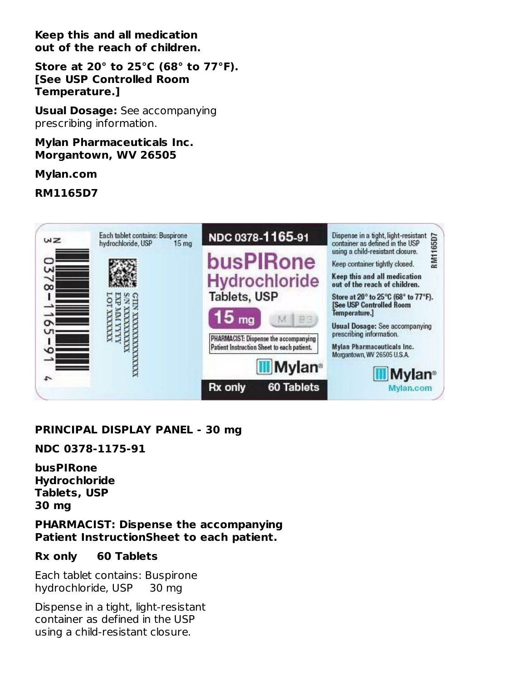**Keep this and all medication out of the reach of children.**

**Store at 20° to 25°C (68° to 77°F). [See USP Controlled Room Temperature.]**

**Usual Dosage:** See accompanying prescribing information.

#### **Mylan Pharmaceuticals Inc. Morgantown, WV 26505**

**Mylan.com**

**RM1165D7**



## **PRINCIPAL DISPLAY PANEL - 30 mg**

**NDC 0378-1175-91**

**busPIRone Hydrochloride Tablets, USP 30 mg**

**PHARMACIST: Dispense the accompanying Patient InstructionSheet to each patient.**

#### **Rx only 60 Tablets**

Each tablet contains: Buspirone hydrochloride, USP 30 mg

Dispense in a tight, light-resistant container as defined in the USP using a child-resistant closure.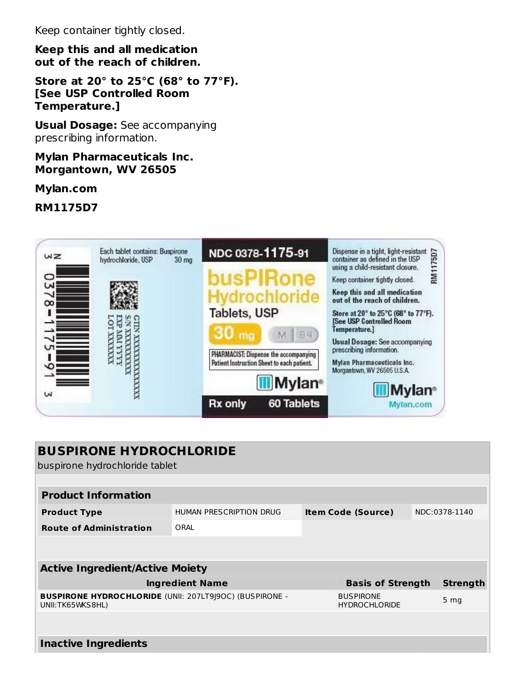Keep container tightly closed.

**Keep this and all medication out of the reach of children.**

**Store at 20° to 25°C (68° to 77°F). [See USP Controlled Room Temperature.]**

**Usual Dosage:** See accompanying prescribing information.

**Mylan Pharmaceuticals Inc. Morgantown, WV 26505**

**Mylan.com**

**RM1175D7**



| <b>BUSPIRONE HYDROCHLORIDE</b><br>buspirone hydrochloride tablet                    |                         |  |                                          |  |                 |  |  |
|-------------------------------------------------------------------------------------|-------------------------|--|------------------------------------------|--|-----------------|--|--|
|                                                                                     |                         |  |                                          |  |                 |  |  |
| <b>Product Information</b>                                                          |                         |  |                                          |  |                 |  |  |
| <b>Product Type</b>                                                                 | HUMAN PRESCRIPTION DRUG |  | <b>Item Code (Source)</b>                |  | NDC:0378-1140   |  |  |
| <b>Route of Administration</b>                                                      | ORAI                    |  |                                          |  |                 |  |  |
|                                                                                     |                         |  |                                          |  |                 |  |  |
|                                                                                     |                         |  |                                          |  |                 |  |  |
| <b>Active Ingredient/Active Moiety</b>                                              |                         |  |                                          |  |                 |  |  |
|                                                                                     | <b>Ingredient Name</b>  |  | <b>Basis of Strength</b>                 |  | <b>Strength</b> |  |  |
| <b>BUSPIRONE HYDROCHLORIDE (UNII: 207LT9J9OC) (BUSPIRONE -</b><br>UNII: TK65WKS8HL) |                         |  | <b>BUSPIRONE</b><br><b>HYDROCHLORIDE</b> |  | 5 <sub>mg</sub> |  |  |
|                                                                                     |                         |  |                                          |  |                 |  |  |
| <b>Inactive Ingredients</b>                                                         |                         |  |                                          |  |                 |  |  |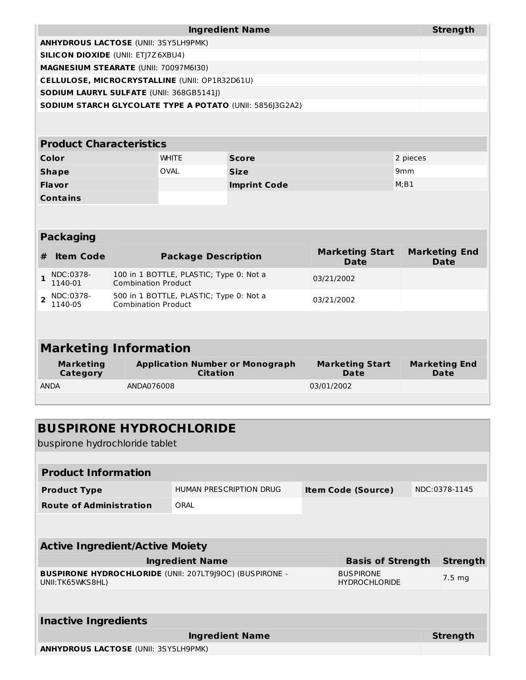| <b>Ingredient Name</b>                                          | Strength |
|-----------------------------------------------------------------|----------|
| <b>ANHYDROUS LACTOSE (UNII: 3SY5LH9PMK)</b>                     |          |
| <b>SILICON DIOXIDE (UNII: ETI7Z6XBU4)</b>                       |          |
| <b>MAGNESIUM STEARATE (UNII: 70097M6I30)</b>                    |          |
| <b>CELLULOSE, MICROCRYSTALLINE (UNII: OP1R32D61U)</b>           |          |
| <b>SODIUM LAURYL SULFATE (UNII: 368GB5141I)</b>                 |          |
| <b>SODIUM STARCH GLYCOLATE TYPE A POTATO (UNII: 5856 3G2A2)</b> |          |
|                                                                 |          |

#### **Product Characteristics**

| Color           | <b>WHITE</b> | <b>Score</b>        | 2 pieces        |
|-----------------|--------------|---------------------|-----------------|
| <b>Shape</b>    | OVAL         | <b>Size</b>         | 9 <sub>mm</sub> |
| <b>Flavor</b>   |              | <b>Imprint Code</b> | M; B1           |
| <b>Contains</b> |              |                     |                 |

|   | <b>Packaging</b>     |                                                                       |                                |                                     |  |  |  |  |  |
|---|----------------------|-----------------------------------------------------------------------|--------------------------------|-------------------------------------|--|--|--|--|--|
| # | <b>Item Code</b>     | <b>Package Description</b>                                            | <b>Marketing Start</b><br>Date | <b>Marketing End</b><br><b>Date</b> |  |  |  |  |  |
|   | NDC:0378-<br>1140-01 | 100 in 1 BOTTLE, PLASTIC; Type 0: Not a<br><b>Combination Product</b> | 03/21/2002                     |                                     |  |  |  |  |  |
|   | NDC:0378-<br>1140-05 | 500 in 1 BOTTLE, PLASTIC; Type 0: Not a<br><b>Combination Product</b> | 03/21/2002                     |                                     |  |  |  |  |  |
|   |                      |                                                                       |                                |                                     |  |  |  |  |  |

# **Marketing Information**

| Marketing   | <b>Application Number or Monograph</b> | <b>Marketing Start</b> | <b>Marketing End</b> |
|-------------|----------------------------------------|------------------------|----------------------|
| Category    | Citation                               | Date                   | Date                 |
| <b>ANDA</b> | ANDA076008                             | 03/01/2002             |                      |

# **BUSPIRONE HYDROCHLORIDE**

buspirone hydrochloride tablet

| <b>Product Information</b>                                                          |                         |  |                                          |  |                  |  |  |
|-------------------------------------------------------------------------------------|-------------------------|--|------------------------------------------|--|------------------|--|--|
| <b>Product Type</b>                                                                 | HUMAN PRESCRIPTION DRUG |  | <b>Item Code (Source)</b>                |  | NDC:0378-1145    |  |  |
| <b>Route of Administration</b>                                                      | ORAL                    |  |                                          |  |                  |  |  |
|                                                                                     |                         |  |                                          |  |                  |  |  |
| <b>Active Ingredient/Active Moiety</b>                                              |                         |  |                                          |  |                  |  |  |
|                                                                                     |                         |  |                                          |  |                  |  |  |
|                                                                                     | <b>Ingredient Name</b>  |  | <b>Basis of Strength</b>                 |  | <b>Strength</b>  |  |  |
| <b>BUSPIRONE HYDROCHLORIDE (UNII: 207LT9J9OC) (BUSPIRONE -</b><br>UNII: TK65WKS8HL) |                         |  | <b>BUSPIRONE</b><br><b>HYDROCHLORIDE</b> |  | $7.5 \text{ mg}$ |  |  |
|                                                                                     |                         |  |                                          |  |                  |  |  |
|                                                                                     |                         |  |                                          |  |                  |  |  |
| <b>Inactive Ingredients</b>                                                         |                         |  |                                          |  |                  |  |  |
|                                                                                     | <b>Ingredient Name</b>  |  |                                          |  | <b>Strength</b>  |  |  |
| <b>ANHYDROUS LACTOSE (UNII: 3SY5LH9PMK)</b>                                         |                         |  |                                          |  |                  |  |  |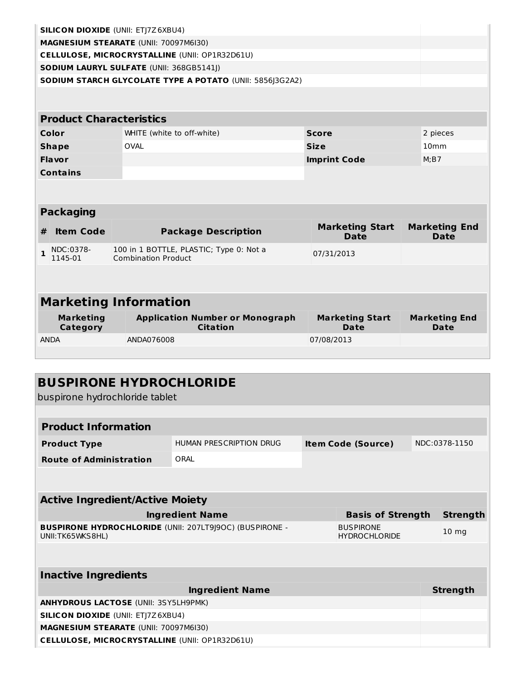|              | <b>SILICON DIOXIDE (UNII: ETJ7Z6XBU4)</b> |                            |                                                           |                                       |                                     |
|--------------|-------------------------------------------|----------------------------|-----------------------------------------------------------|---------------------------------------|-------------------------------------|
|              | MAGNESIUM STEARATE (UNII: 70097M6I30)     |                            |                                                           |                                       |                                     |
|              |                                           |                            | CELLULOSE, MICROCRYSTALLINE (UNII: OP1R32D61U)            |                                       |                                     |
|              | SODIUM LAURYL SULFATE (UNII: 368GB5141J)  |                            |                                                           |                                       |                                     |
|              |                                           |                            | SODIUM STARCH GLYCOLATE TYPE A POTATO (UNII: 5856J3G2A2)  |                                       |                                     |
|              | <b>Product Characteristics</b>            |                            |                                                           |                                       |                                     |
|              | Color                                     |                            | WHITE (white to off-white)                                | <b>Score</b>                          | 2 pieces                            |
|              | <b>Shape</b>                              | <b>OVAL</b>                |                                                           | <b>Size</b>                           | 10 <sub>mm</sub>                    |
|              | Flavor                                    |                            |                                                           | <b>Imprint Code</b>                   | M; B7                               |
|              | <b>Contains</b>                           |                            |                                                           |                                       |                                     |
|              |                                           |                            |                                                           |                                       |                                     |
|              | <b>Packaging</b>                          |                            |                                                           |                                       |                                     |
| #            | <b>Item Code</b>                          |                            | <b>Package Description</b>                                | <b>Marketing Start</b><br><b>Date</b> | <b>Marketing End</b><br><b>Date</b> |
| $\mathbf{1}$ | NDC:0378-<br>1145-01                      | <b>Combination Product</b> | 100 in 1 BOTTLE, PLASTIC; Type 0: Not a                   | 07/31/2013                            |                                     |
|              |                                           |                            |                                                           |                                       |                                     |
|              |                                           |                            |                                                           |                                       |                                     |
|              | <b>Marketing Information</b>              |                            |                                                           |                                       |                                     |
|              | <b>Marketing</b><br><b>Category</b>       |                            | <b>Application Number or Monograph</b><br><b>Citation</b> | <b>Marketing Start</b><br>Date        | <b>Marketing End</b><br>Date        |
|              | <b>ANDA</b>                               | ANDA076008                 |                                                           | 07/08/2013                            |                                     |
|              |                                           |                            |                                                           |                                       |                                     |
|              | buspirone hydrochloride tablet            |                            | <b>BUSPIRONE HYDROCHLORIDE</b>                            |                                       |                                     |
|              | <b>Product Information</b>                |                            |                                                           |                                       |                                     |
|              | <b>Product Type</b>                       |                            | HUMAN PRESCRIPTION DRUG                                   | <b>Item Code (Source)</b>             | NDC:0378-1150                       |
|              | <b>Route of Administration</b>            |                            | ORAL                                                      |                                       |                                     |
|              |                                           |                            |                                                           |                                       |                                     |

| <b>Active Ingredient/Active Moiety</b>                                             |                                          |                 |
|------------------------------------------------------------------------------------|------------------------------------------|-----------------|
| <b>Ingredient Name</b>                                                             | <b>Basis of Strength</b>                 | Strength        |
| <b>BUSPIRONE HYDROCHLORIDE (UNII: 207LT9J9OC) (BUSPIRONE -</b><br>UNII:TK65WKS8HL) | <b>BUSPIRONE</b><br><b>HYDROCHLORIDE</b> | $10 \text{ mg}$ |
|                                                                                    |                                          |                 |
|                                                                                    |                                          |                 |

| <b>Inactive Ingredients</b>                    |          |  |  |  |  |  |
|------------------------------------------------|----------|--|--|--|--|--|
| <b>Ingredient Name</b>                         | Strength |  |  |  |  |  |
| <b>ANHYDROUS LACTOSE (UNII: 3SY5LH9PMK)</b>    |          |  |  |  |  |  |
| <b>SILICON DIOXIDE (UNII: ETI7Z6XBU4)</b>      |          |  |  |  |  |  |
| <b>MAGNESIUM STEARATE (UNII: 70097M6I30)</b>   |          |  |  |  |  |  |
| CELLULOSE, MICROCRYSTALLINE (UNII: OP1R32D61U) |          |  |  |  |  |  |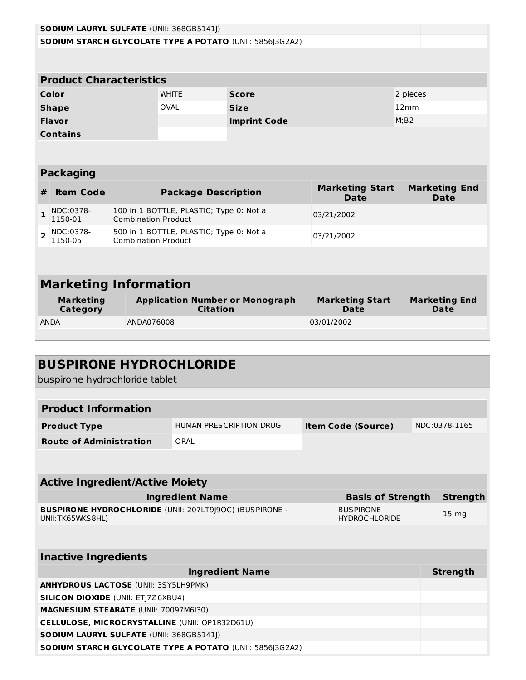| <b>SODIUM LAURYL SULFATE (UNII: 368GB5141J)</b> |                                |                            |                                         |                                                                 |                                       |                                     |  |
|-------------------------------------------------|--------------------------------|----------------------------|-----------------------------------------|-----------------------------------------------------------------|---------------------------------------|-------------------------------------|--|
|                                                 |                                |                            |                                         | <b>SODIUM STARCH GLYCOLATE TYPE A POTATO (UNII: 5856]3G2A2)</b> |                                       |                                     |  |
|                                                 |                                |                            |                                         |                                                                 |                                       |                                     |  |
|                                                 | <b>Product Characteristics</b> |                            |                                         |                                                                 |                                       |                                     |  |
|                                                 | Color                          |                            | <b>WHITE</b>                            | <b>Score</b>                                                    |                                       | 2 pieces                            |  |
|                                                 | <b>Shape</b>                   |                            | <b>OVAL</b>                             | <b>Size</b>                                                     |                                       | 12mm                                |  |
|                                                 | <b>Flavor</b>                  |                            |                                         | <b>Imprint Code</b>                                             |                                       | M:B2                                |  |
| <b>Contains</b>                                 |                                |                            |                                         |                                                                 |                                       |                                     |  |
|                                                 |                                |                            |                                         |                                                                 |                                       |                                     |  |
|                                                 |                                |                            |                                         |                                                                 |                                       |                                     |  |
|                                                 | <b>Packaging</b>               |                            |                                         |                                                                 |                                       |                                     |  |
|                                                 |                                |                            |                                         |                                                                 |                                       |                                     |  |
| #                                               | <b>Item Code</b>               |                            | <b>Package Description</b>              |                                                                 | <b>Marketing Start</b><br><b>Date</b> | <b>Marketing End</b><br><b>Date</b> |  |
| 1                                               | NDC:0378-<br>1150-01           | <b>Combination Product</b> | 100 in 1 BOTTLE, PLASTIC; Type 0: Not a |                                                                 | 03/21/2002                            |                                     |  |
| $\overline{2}$                                  | NDC:0378-<br>1150-05           | <b>Combination Product</b> | 500 in 1 BOTTLE, PLASTIC; Type 0: Not a |                                                                 | 03/21/2002                            |                                     |  |
|                                                 |                                |                            |                                         |                                                                 |                                       |                                     |  |
|                                                 |                                |                            |                                         |                                                                 |                                       |                                     |  |
|                                                 | <b>Marketing Information</b>   |                            |                                         |                                                                 |                                       |                                     |  |
|                                                 | <b>Marketing</b><br>Category   |                            | <b>Citation</b>                         | <b>Application Number or Monograph</b>                          | <b>Marketing Start</b><br><b>Date</b> | <b>Marketing End</b><br><b>Date</b> |  |
|                                                 | <b>ANDA</b>                    | ANDA076008                 |                                         |                                                                 | 03/01/2002                            |                                     |  |

| <b>BUSPIRONE HYDROCHLORIDE</b><br>buspirone hydrochloride tablet                   |                         |                                          |                  |
|------------------------------------------------------------------------------------|-------------------------|------------------------------------------|------------------|
|                                                                                    |                         |                                          |                  |
| <b>Product Information</b>                                                         |                         |                                          |                  |
| <b>Product Type</b>                                                                | HUMAN PRESCRIPTION DRUG | <b>Item Code (Source)</b>                | NDC:0378-1165    |
| <b>Route of Administration</b>                                                     | ORAL                    |                                          |                  |
|                                                                                    |                         |                                          |                  |
|                                                                                    |                         |                                          |                  |
| <b>Active Ingredient/Active Moiety</b>                                             |                         |                                          |                  |
|                                                                                    | <b>Ingredient Name</b>  | <b>Basis of Strength</b>                 | <b>Strength</b>  |
| <b>BUSPIRONE HYDROCHLORIDE (UNII: 207LT9J9OC) (BUSPIRONE -</b><br>UNII:TK65WKS8HL) |                         | <b>BUSPIRONE</b><br><b>HYDROCHLORIDE</b> | 15 <sub>mg</sub> |
|                                                                                    |                         |                                          |                  |
|                                                                                    |                         |                                          |                  |
| <b>Inactive Ingredients</b>                                                        |                         |                                          |                  |
|                                                                                    | <b>Ingredient Name</b>  |                                          | <b>Strength</b>  |
| <b>ANHYDROUS LACTOSE (UNII: 3SY5LH9PMK)</b>                                        |                         |                                          |                  |
| <b>SILICON DIOXIDE (UNII: ETJ7Z6XBU4)</b>                                          |                         |                                          |                  |
| MAGNESIUM STEARATE (UNII: 70097M6I30)                                              |                         |                                          |                  |
| <b>CELLULOSE, MICROCRYSTALLINE (UNII: OP1R32D61U)</b>                              |                         |                                          |                  |
| <b>SODIUM LAURYL SULFATE (UNII: 368GB5141))</b>                                    |                         |                                          |                  |
| SODIUM STARCH GLYCOLATE TYPE A POTATO (UNII: 5856 3G2A2)                           |                         |                                          |                  |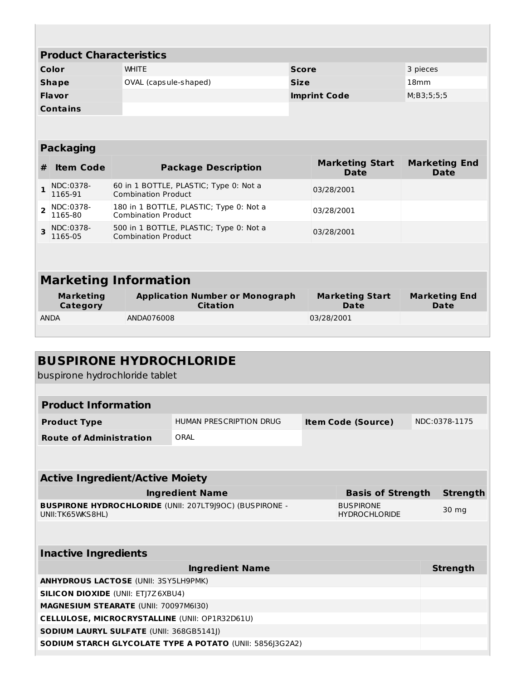| <b>Product Characteristics</b> |                      |                                                                      |              |                                       |                                     |  |  |
|--------------------------------|----------------------|----------------------------------------------------------------------|--------------|---------------------------------------|-------------------------------------|--|--|
|                                | Color                | <b>WHITE</b>                                                         | <b>Score</b> |                                       | 3 pieces                            |  |  |
|                                | <b>Shape</b>         | OVAL (capsule-shaped)                                                | <b>Size</b>  |                                       | 18mm                                |  |  |
| <b>Flavor</b>                  |                      |                                                                      |              | <b>Imprint Code</b>                   | M; B3; 5; 5; 5                      |  |  |
| <b>Contains</b>                |                      |                                                                      |              |                                       |                                     |  |  |
|                                |                      |                                                                      |              |                                       |                                     |  |  |
|                                |                      |                                                                      |              |                                       |                                     |  |  |
| <b>Packaging</b>               |                      |                                                                      |              |                                       |                                     |  |  |
| #                              | <b>Item Code</b>     | <b>Package Description</b>                                           |              | <b>Marketing Start</b><br><b>Date</b> | <b>Marketing End</b><br><b>Date</b> |  |  |
|                                | NDC:0378-<br>1165-91 | 60 in 1 BOTTLE, PLASTIC; Type 0: Not a<br><b>Combination Product</b> |              | 03/28/2001                            |                                     |  |  |

| <b>Marketing Information</b> |                                                           |                                       |                                     |  |  |  |  |
|------------------------------|-----------------------------------------------------------|---------------------------------------|-------------------------------------|--|--|--|--|
| <b>Marketing</b><br>Category | <b>Application Number or Monograph</b><br><b>Citation</b> | <b>Marketing Start</b><br><b>Date</b> | <b>Marketing End</b><br><b>Date</b> |  |  |  |  |
| <b>ANDA</b>                  | ANDA076008                                                | 03/28/2001                            |                                     |  |  |  |  |

03/28/2001

03/28/2001

180 in 1 BOTTLE, PLASTIC; Type 0: Not a

500 in 1 BOTTLE, PLASTIC; Type 0: Not a

Combination Product

Combination Product

**2**

NDC:0378- 1165-80

**3** NDC:0378-1165-05

| <b>BUSPIRONE HYDROCHLORIDE</b><br>buspirone hydrochloride tablet                    |                                                      |                                          |               |  |                 |  |
|-------------------------------------------------------------------------------------|------------------------------------------------------|------------------------------------------|---------------|--|-----------------|--|
|                                                                                     |                                                      |                                          |               |  |                 |  |
| <b>Product Information</b>                                                          |                                                      |                                          |               |  |                 |  |
| <b>Product Type</b>                                                                 | HUMAN PRESCRIPTION DRUG<br><b>Item Code (Source)</b> |                                          | NDC:0378-1175 |  |                 |  |
| <b>Route of Administration</b>                                                      | ORAI                                                 |                                          |               |  |                 |  |
|                                                                                     |                                                      |                                          |               |  |                 |  |
| <b>Active Ingredient/Active Moiety</b>                                              |                                                      |                                          |               |  |                 |  |
| <b>Ingredient Name</b><br><b>Basis of Strength</b>                                  |                                                      |                                          |               |  | <b>Strength</b> |  |
| <b>BUSPIRONE HYDROCHLORIDE (UNII: 207LT9J9OC) (BUSPIRONE -</b><br>UNII: TK65WKS8HL) |                                                      | <b>BUSPIRONE</b><br><b>HYDROCHLORIDE</b> |               |  | 30 mg           |  |
|                                                                                     |                                                      |                                          |               |  |                 |  |
| <b>Inactive Ingredients</b>                                                         |                                                      |                                          |               |  |                 |  |
|                                                                                     | <b>Ingredient Name</b>                               |                                          |               |  | <b>Strength</b> |  |
| <b>ANHYDROUS LACTOSE (UNII: 3SY5LH9PMK)</b>                                         |                                                      |                                          |               |  |                 |  |
| <b>SILICON DIOXIDE (UNII: ETI7Z6XBU4)</b>                                           |                                                      |                                          |               |  |                 |  |
| <b>MAGNESIUM STEARATE (UNII: 70097M6I30)</b>                                        |                                                      |                                          |               |  |                 |  |
| <b>CELLULOSE, MICROCRYSTALLINE (UNII: OP1R32D61U)</b>                               |                                                      |                                          |               |  |                 |  |
| SODIUM LAURYL SULFATE (UNII: 368GB5141J)                                            |                                                      |                                          |               |  |                 |  |
| <b>SODIUM STARCH GLYCOLATE TYPE A POTATO (UNII: 5856]3G2A2)</b>                     |                                                      |                                          |               |  |                 |  |